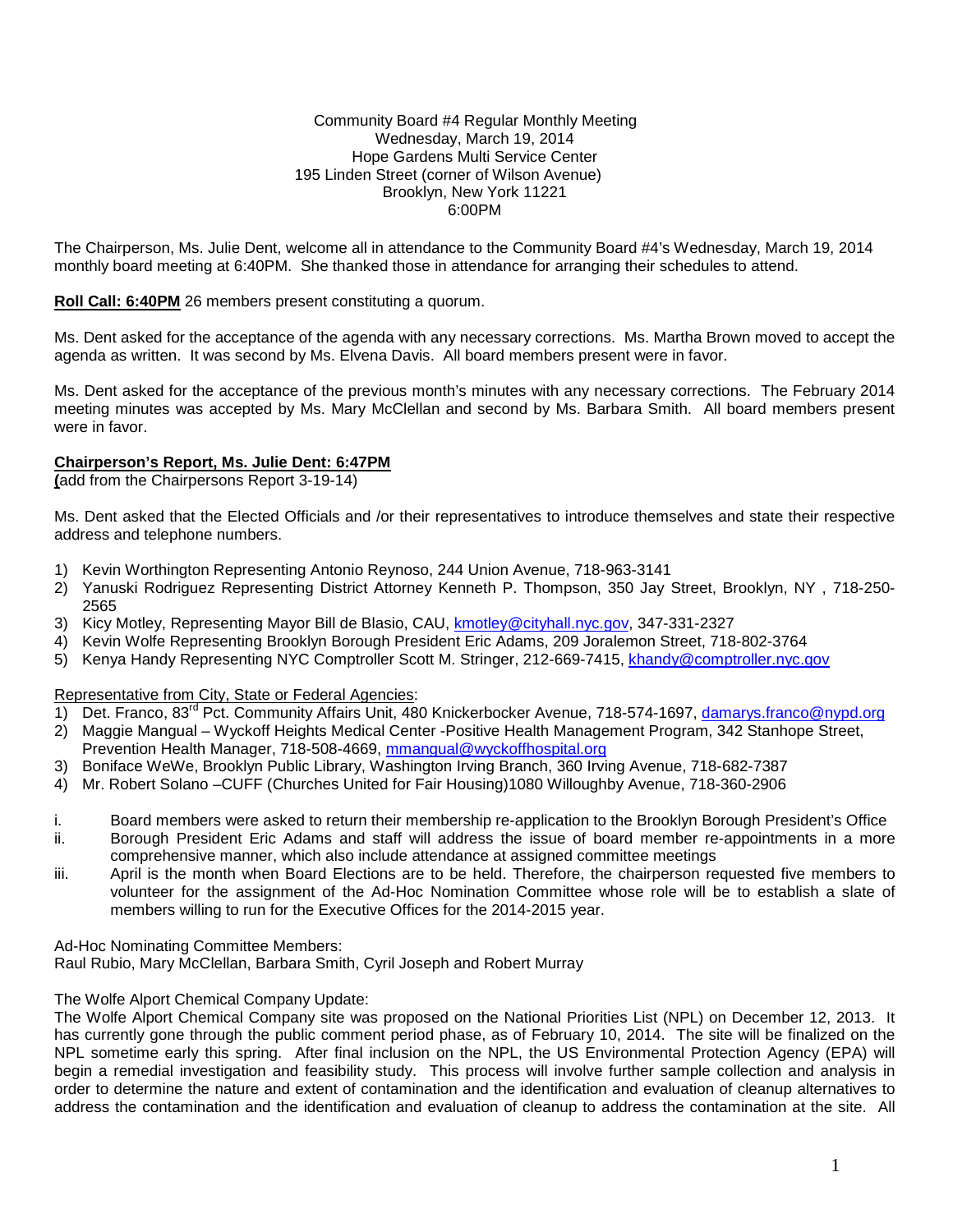### Community Board #4 Regular Monthly Meeting Wednesday, March 19, 2014 Hope Gardens Multi Service Center 195 Linden Street (corner of Wilson Avenue) Brooklyn, New York 11221 6:00PM

The Chairperson, Ms. Julie Dent, welcome all in attendance to the Community Board #4's Wednesday, March 19, 2014 monthly board meeting at 6:40PM. She thanked those in attendance for arranging their schedules to attend.

### **Roll Call: 6:40PM** 26 members present constituting a quorum.

Ms. Dent asked for the acceptance of the agenda with any necessary corrections. Ms. Martha Brown moved to accept the agenda as written. It was second by Ms. Elvena Davis. All board members present were in favor.

Ms. Dent asked for the acceptance of the previous month's minutes with any necessary corrections. The February 2014 meeting minutes was accepted by Ms. Mary McClellan and second by Ms. Barbara Smith. All board members present were in favor.

### **Chairperson's Report, Ms. Julie Dent: 6:47PM**

**(**add from the Chairpersons Report 3-19-14)

Ms. Dent asked that the Elected Officials and /or their representatives to introduce themselves and state their respective address and telephone numbers.

- 1) Kevin Worthington Representing Antonio Reynoso, 244 Union Avenue, 718-963-3141
- 2) Yanuski Rodriguez Representing District Attorney Kenneth P. Thompson, 350 Jay Street, Brooklyn, NY , 718-250- 2565
- 3) Kicy Motley, Representing Mayor Bill de Blasio, CAU, [kmotley@cityhall.nyc.gov,](mailto:kmotley@cityhall.nyc.gov) 347-331-2327
- 4) Kevin Wolfe Representing Brooklyn Borough President Eric Adams, 209 Joralemon Street, 718-802-3764
- 5) Kenya Handy Representing NYC Comptroller Scott M. Stringer, 212-669-7415, [khandy@comptroller.nyc.gov](mailto:khandy@comptroller.nyc.gov)

#### Representative from City, State or Federal Agencies:

- 1) Det. Franco, 83<sup>rd</sup> Pct. Community Affairs Unit, 480 Knickerbocker Avenue, 718-574-1697, [damarys.franco@nypd.org](mailto:damarys.franco@nypd.org) 2) Maggie Mangual – Wyckoff Heights Medical Center -Positive Health Management Program, 342 Stanhope Street,
- Prevention Health Manager, 718-508-4669, [mmangual@wyckoffhospital.org](mailto:mmangual@wyckoffhospital.org)
- 3) Boniface WeWe, Brooklyn Public Library, Washington Irving Branch, 360 Irving Avenue, 718-682-7387
- 4) Mr. Robert Solano –CUFF (Churches United for Fair Housing)1080 Willoughby Avenue, 718-360-2906
- i. Board members were asked to return their membership re-application to the Brooklyn Borough President's Office<br>ii. Borough President Eric Adams and staff will address the issue of board member re-appointments in a more Borough President Eric Adams and staff will address the issue of board member re-appointments in a more comprehensive manner, which also include attendance at assigned committee meetings
- iii. April is the month when Board Elections are to be held. Therefore, the chairperson requested five members to volunteer for the assignment of the Ad-Hoc Nomination Committee whose role will be to establish a slate of members willing to run for the Executive Offices for the 2014-2015 year.

Ad-Hoc Nominating Committee Members:

Raul Rubio, Mary McClellan, Barbara Smith, Cyril Joseph and Robert Murray

### The Wolfe Alport Chemical Company Update:

The Wolfe Alport Chemical Company site was proposed on the National Priorities List (NPL) on December 12, 2013. It has currently gone through the public comment period phase, as of February 10, 2014. The site will be finalized on the NPL sometime early this spring. After final inclusion on the NPL, the US Environmental Protection Agency (EPA) will begin a remedial investigation and feasibility study. This process will involve further sample collection and analysis in order to determine the nature and extent of contamination and the identification and evaluation of cleanup alternatives to address the contamination and the identification and evaluation of cleanup to address the contamination at the site. All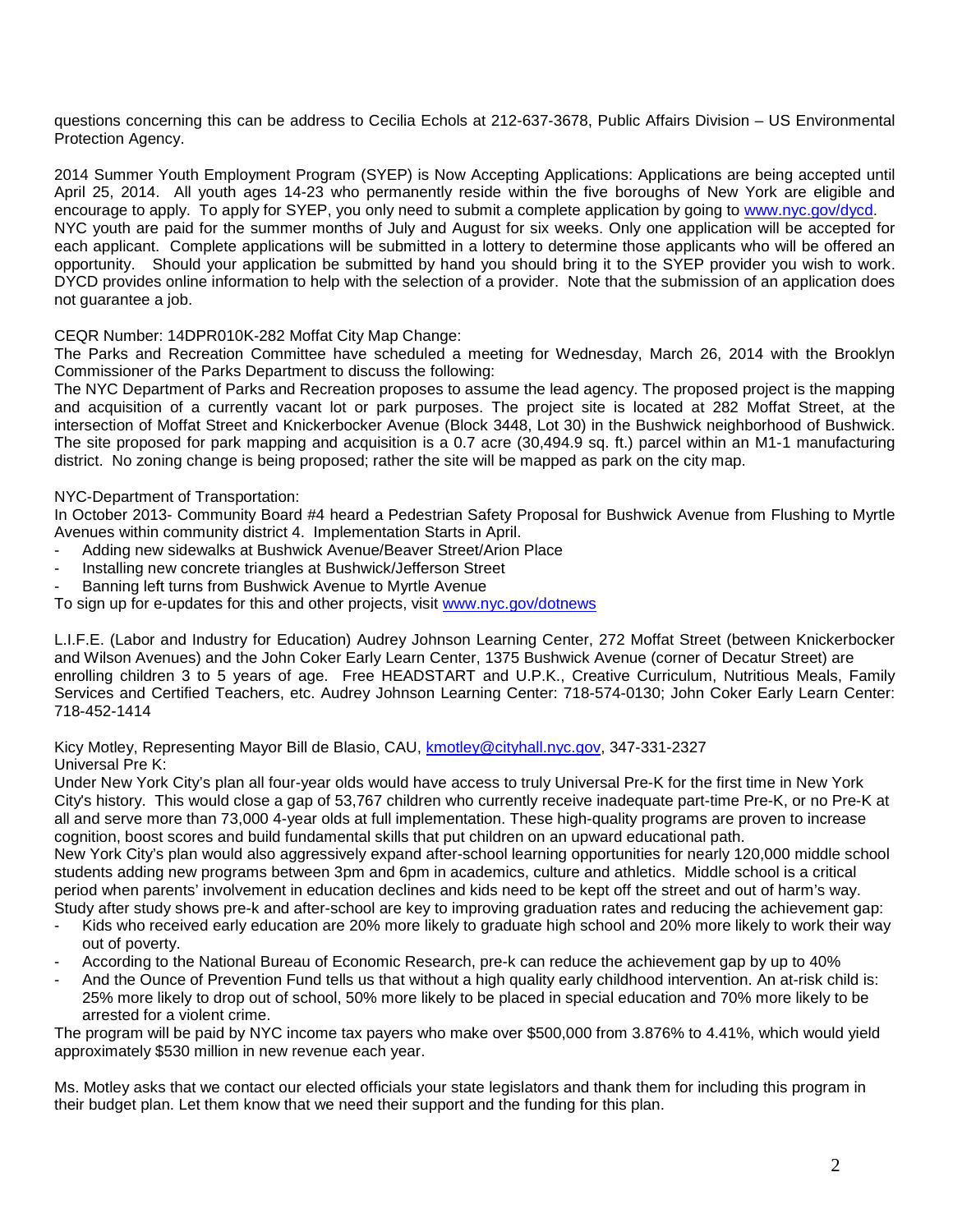questions concerning this can be address to Cecilia Echols at 212-637-3678, Public Affairs Division – US Environmental Protection Agency.

2014 Summer Youth Employment Program (SYEP) is Now Accepting Applications: Applications are being accepted until April 25, 2014. All youth ages 14-23 who permanently reside within the five boroughs of New York are eligible and encourage to apply. To apply for SYEP, you only need to submit a complete application by going to [www.nyc.gov/dycd.](http://www.nyc.gov/dycd)  NYC youth are paid for the summer months of July and August for six weeks. Only one application will be accepted for each applicant. Complete applications will be submitted in a lottery to determine those applicants who will be offered an opportunity. Should your application be submitted by hand you should bring it to the SYEP provider you wish to work. DYCD provides online information to help with the selection of a provider. Note that the submission of an application does not guarantee a job.

CEQR Number: 14DPR010K-282 Moffat City Map Change:

The Parks and Recreation Committee have scheduled a meeting for Wednesday, March 26, 2014 with the Brooklyn Commissioner of the Parks Department to discuss the following:

The NYC Department of Parks and Recreation proposes to assume the lead agency. The proposed project is the mapping and acquisition of a currently vacant lot or park purposes. The project site is located at 282 Moffat Street, at the intersection of Moffat Street and Knickerbocker Avenue (Block 3448, Lot 30) in the Bushwick neighborhood of Bushwick. The site proposed for park mapping and acquisition is a 0.7 acre (30,494.9 sq. ft.) parcel within an M1-1 manufacturing district. No zoning change is being proposed; rather the site will be mapped as park on the city map.

## NYC-Department of Transportation:

In October 2013- Community Board #4 heard a Pedestrian Safety Proposal for Bushwick Avenue from Flushing to Myrtle Avenues within community district 4. Implementation Starts in April.

- Adding new sidewalks at Bushwick Avenue/Beaver Street/Arion Place
- Installing new concrete triangles at Bushwick/Jefferson Street
- Banning left turns from Bushwick Avenue to Myrtle Avenue

To sign up for e-updates for this and other projects, visit [www.nyc.gov/dotnews](http://www.nyc.gov/dotnews)

L.I.F.E. (Labor and Industry for Education) Audrey Johnson Learning Center, 272 Moffat Street (between Knickerbocker and Wilson Avenues) and the John Coker Early Learn Center, 1375 Bushwick Avenue (corner of Decatur Street) are enrolling children 3 to 5 years of age. Free HEADSTART and U.P.K., Creative Curriculum, Nutritious Meals, Family Services and Certified Teachers, etc. Audrey Johnson Learning Center: 718-574-0130; John Coker Early Learn Center: 718-452-1414

Kicy Motley, Representing Mayor Bill de Blasio, CAU, [kmotley@cityhall.nyc.gov,](mailto:kmotley@cityhall.nyc.gov) 347-331-2327 Universal Pre K:

Under New York City's plan all four-year olds would have access to truly Universal Pre-K for the first time in New York City's history. This would close a gap of 53,767 children who currently receive inadequate part-time Pre-K, or no Pre-K at all and serve more than 73,000 4-year olds at full implementation. These high-quality programs are proven to increase cognition, boost scores and build fundamental skills that put children on an upward educational path.

New York City's plan would also aggressively expand after-school learning opportunities for nearly 120,000 middle school students adding new programs between 3pm and 6pm in academics, culture and athletics. Middle school is a critical period when parents' involvement in education declines and kids need to be kept off the street and out of harm's way. Study after study shows pre-k and after-school are key to improving graduation rates and reducing the achievement gap:

- Kids who received early education are 20% more likely to graduate high school and 20% more likely to work their way out of poverty.
- According to the National Bureau of Economic Research, pre-k can reduce the achievement gap by up to 40%
- And the Ounce of Prevention Fund tells us that without a high quality early childhood intervention. An at-risk child is: 25% more likely to drop out of school, 50% more likely to be placed in special education and 70% more likely to be arrested for a violent crime.

The program will be paid by NYC income tax payers who make over \$500,000 from 3.876% to 4.41%, which would yield approximately \$530 million in new revenue each year.

Ms. Motley asks that we contact our elected officials your state legislators and thank them for including this program in their budget plan. Let them know that we need their support and the funding for this plan.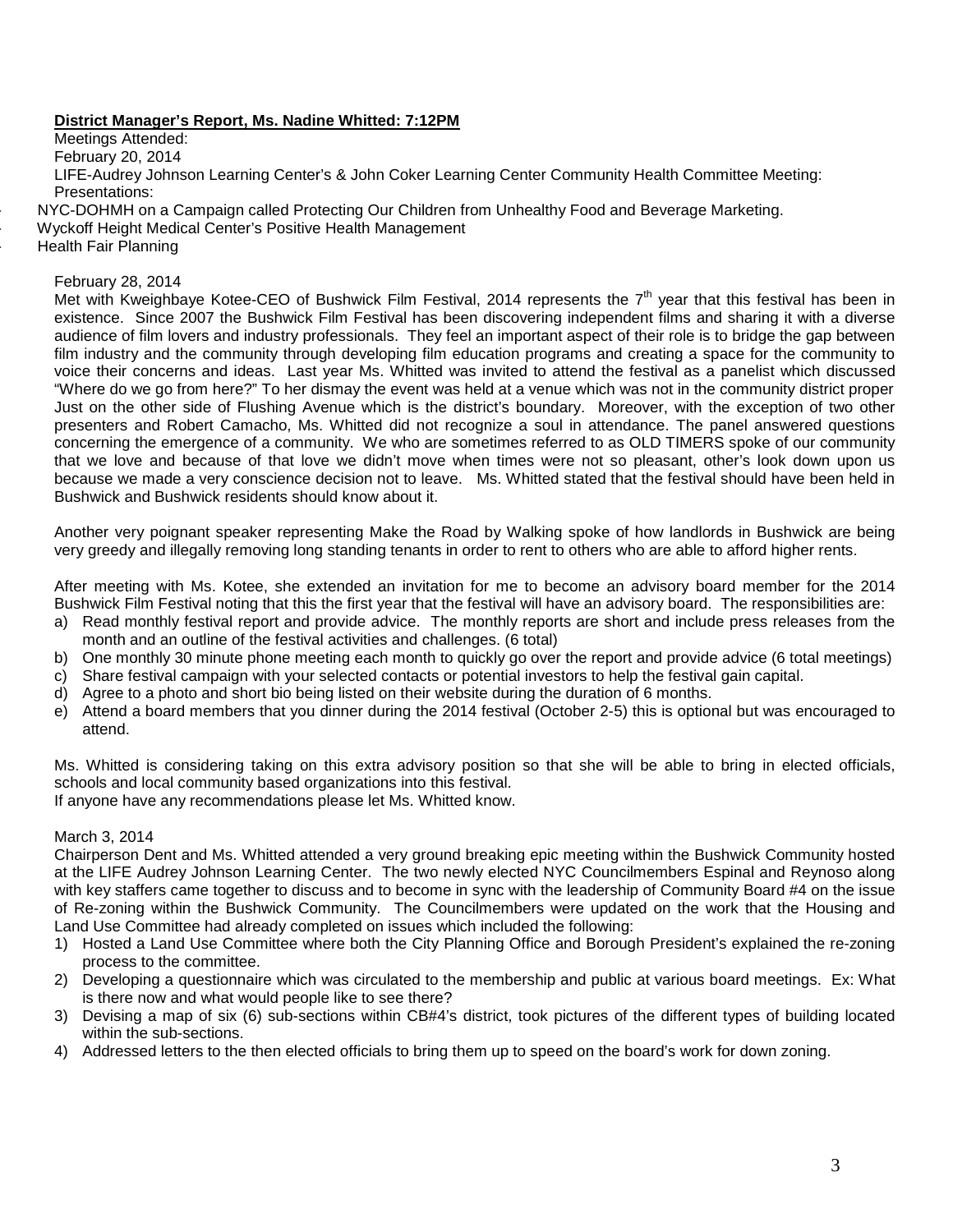## **District Manager's Report, Ms. Nadine Whitted: 7:12PM**

Meetings Attended: February 20, 2014 LIFE-Audrey Johnson Learning Center's & John Coker Learning Center Community Health Committee Meeting: Presentations:

- NYC-DOHMH on a Campaign called Protecting Our Children from Unhealthy Food and Beverage Marketing.

- Wyckoff Height Medical Center's Positive Health Management

Health Fair Planning

### February 28, 2014

Met with Kweighbaye Kotee-CEO of Bushwick Film Festival, 2014 represents the  $7<sup>th</sup>$  year that this festival has been in existence. Since 2007 the Bushwick Film Festival has been discovering independent films and sharing it with a diverse audience of film lovers and industry professionals. They feel an important aspect of their role is to bridge the gap between film industry and the community through developing film education programs and creating a space for the community to voice their concerns and ideas. Last year Ms. Whitted was invited to attend the festival as a panelist which discussed "Where do we go from here?" To her dismay the event was held at a venue which was not in the community district proper Just on the other side of Flushing Avenue which is the district's boundary. Moreover, with the exception of two other presenters and Robert Camacho, Ms. Whitted did not recognize a soul in attendance. The panel answered questions concerning the emergence of a community. We who are sometimes referred to as OLD TIMERS spoke of our community that we love and because of that love we didn't move when times were not so pleasant, other's look down upon us because we made a very conscience decision not to leave. Ms. Whitted stated that the festival should have been held in Bushwick and Bushwick residents should know about it.

Another very poignant speaker representing Make the Road by Walking spoke of how landlords in Bushwick are being very greedy and illegally removing long standing tenants in order to rent to others who are able to afford higher rents.

After meeting with Ms. Kotee, she extended an invitation for me to become an advisory board member for the 2014 Bushwick Film Festival noting that this the first year that the festival will have an advisory board. The responsibilities are:

- a) Read monthly festival report and provide advice. The monthly reports are short and include press releases from the month and an outline of the festival activities and challenges. (6 total)
- b) One monthly 30 minute phone meeting each month to quickly go over the report and provide advice (6 total meetings)
- c) Share festival campaign with your selected contacts or potential investors to help the festival gain capital.
- d) Agree to a photo and short bio being listed on their website during the duration of 6 months.
- e) Attend a board members that you dinner during the 2014 festival (October 2-5) this is optional but was encouraged to attend.

Ms. Whitted is considering taking on this extra advisory position so that she will be able to bring in elected officials, schools and local community based organizations into this festival.

If anyone have any recommendations please let Ms. Whitted know.

#### March 3, 2014

Chairperson Dent and Ms. Whitted attended a very ground breaking epic meeting within the Bushwick Community hosted at the LIFE Audrey Johnson Learning Center. The two newly elected NYC Councilmembers Espinal and Reynoso along with key staffers came together to discuss and to become in sync with the leadership of Community Board #4 on the issue of Re-zoning within the Bushwick Community. The Councilmembers were updated on the work that the Housing and Land Use Committee had already completed on issues which included the following:

- 1) Hosted a Land Use Committee where both the City Planning Office and Borough President's explained the re-zoning process to the committee.
- 2) Developing a questionnaire which was circulated to the membership and public at various board meetings. Ex: What is there now and what would people like to see there?
- 3) Devising a map of six (6) sub-sections within CB#4's district, took pictures of the different types of building located within the sub-sections.
- 4) Addressed letters to the then elected officials to bring them up to speed on the board's work for down zoning.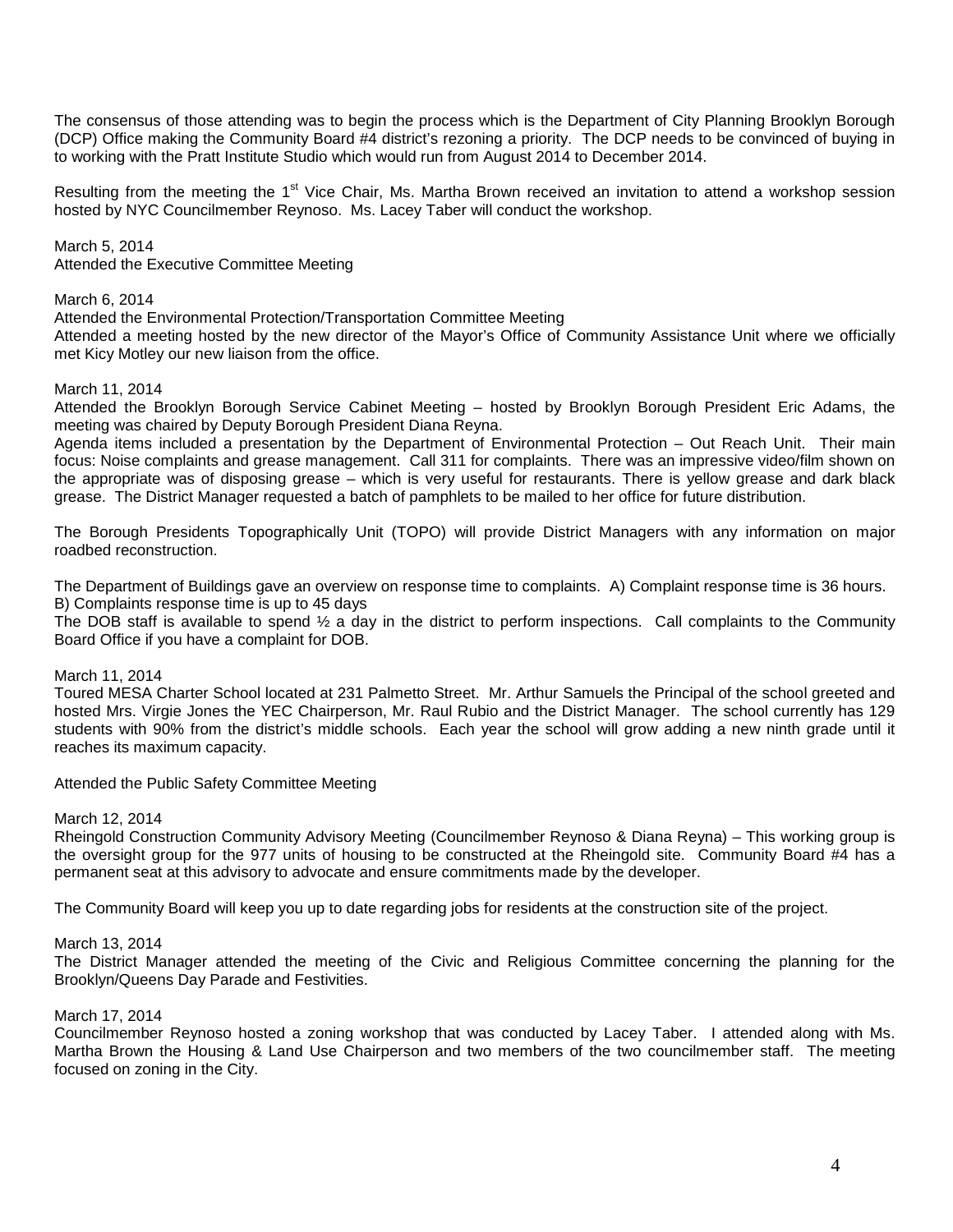The consensus of those attending was to begin the process which is the Department of City Planning Brooklyn Borough (DCP) Office making the Community Board #4 district's rezoning a priority. The DCP needs to be convinced of buying in to working with the Pratt Institute Studio which would run from August 2014 to December 2014.

Resulting from the meeting the 1<sup>st</sup> Vice Chair, Ms. Martha Brown received an invitation to attend a workshop session hosted by NYC Councilmember Reynoso. Ms. Lacey Taber will conduct the workshop.

March 5, 2014 Attended the Executive Committee Meeting

### March 6, 2014

Attended the Environmental Protection/Transportation Committee Meeting

Attended a meeting hosted by the new director of the Mayor's Office of Community Assistance Unit where we officially met Kicy Motley our new liaison from the office.

### March 11, 2014

Attended the Brooklyn Borough Service Cabinet Meeting – hosted by Brooklyn Borough President Eric Adams, the meeting was chaired by Deputy Borough President Diana Reyna.

Agenda items included a presentation by the Department of Environmental Protection – Out Reach Unit. Their main focus: Noise complaints and grease management. Call 311 for complaints. There was an impressive video/film shown on the appropriate was of disposing grease – which is very useful for restaurants. There is yellow grease and dark black grease. The District Manager requested a batch of pamphlets to be mailed to her office for future distribution.

The Borough Presidents Topographically Unit (TOPO) will provide District Managers with any information on major roadbed reconstruction.

The Department of Buildings gave an overview on response time to complaints. A) Complaint response time is 36 hours. B) Complaints response time is up to 45 days

The DOB staff is available to spend ½ a day in the district to perform inspections. Call complaints to the Community Board Office if you have a complaint for DOB.

#### March 11, 2014

Toured MESA Charter School located at 231 Palmetto Street. Mr. Arthur Samuels the Principal of the school greeted and hosted Mrs. Virgie Jones the YEC Chairperson, Mr. Raul Rubio and the District Manager. The school currently has 129 students with 90% from the district's middle schools. Each year the school will grow adding a new ninth grade until it reaches its maximum capacity.

#### Attended the Public Safety Committee Meeting

#### March 12, 2014

Rheingold Construction Community Advisory Meeting (Councilmember Reynoso & Diana Reyna) – This working group is the oversight group for the 977 units of housing to be constructed at the Rheingold site. Community Board #4 has a permanent seat at this advisory to advocate and ensure commitments made by the developer.

The Community Board will keep you up to date regarding jobs for residents at the construction site of the project.

#### March 13, 2014

The District Manager attended the meeting of the Civic and Religious Committee concerning the planning for the Brooklyn/Queens Day Parade and Festivities.

#### March 17, 2014

Councilmember Reynoso hosted a zoning workshop that was conducted by Lacey Taber. I attended along with Ms. Martha Brown the Housing & Land Use Chairperson and two members of the two councilmember staff. The meeting focused on zoning in the City.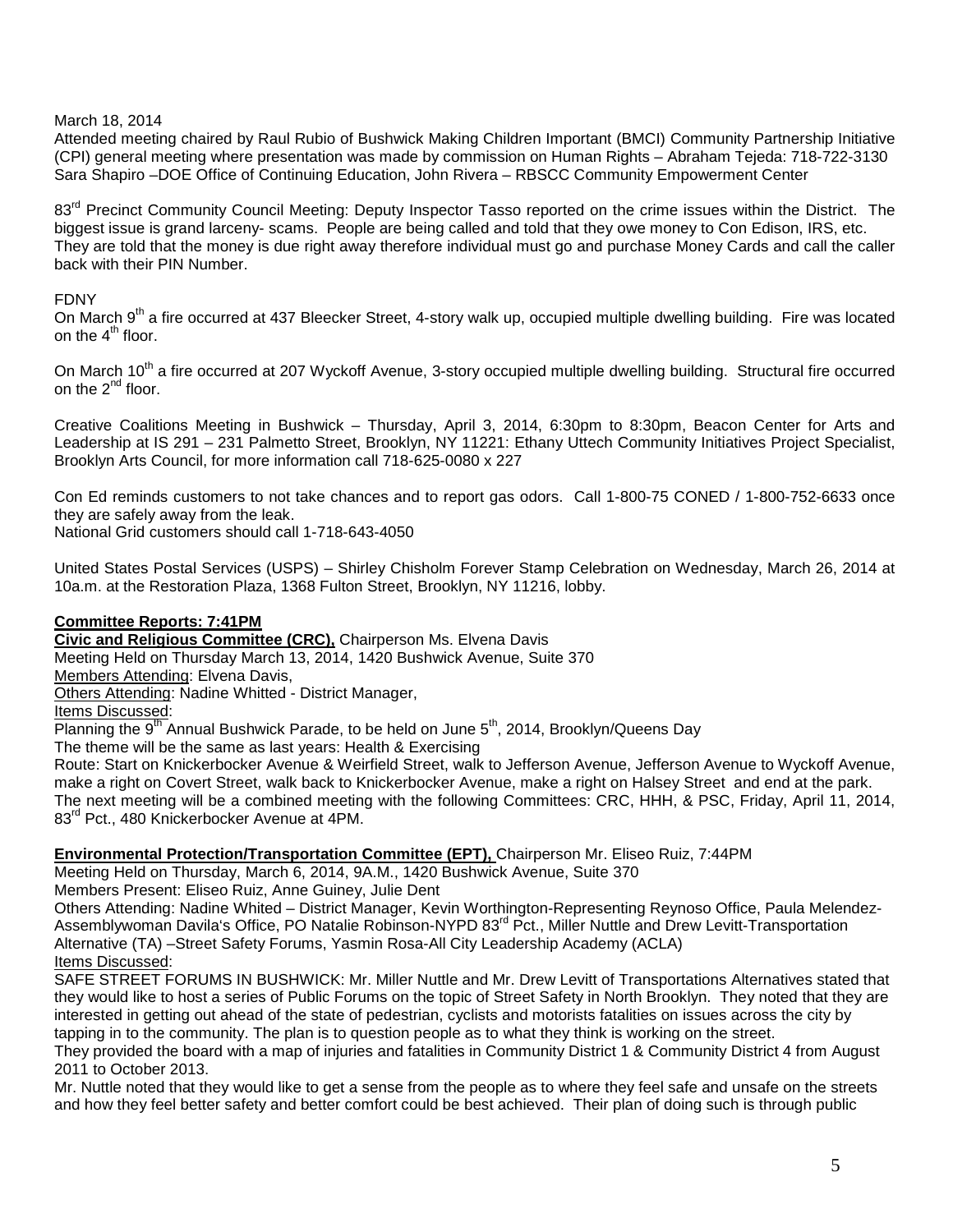## March 18, 2014

Attended meeting chaired by Raul Rubio of Bushwick Making Children Important (BMCI) Community Partnership Initiative (CPI) general meeting where presentation was made by commission on Human Rights – Abraham Tejeda: 718-722-3130 Sara Shapiro –DOE Office of Continuing Education, John Rivera – RBSCC Community Empowerment Center

83<sup>rd</sup> Precinct Community Council Meeting: Deputy Inspector Tasso reported on the crime issues within the District. The biggest issue is grand larceny- scams. People are being called and told that they owe money to Con Edison, IRS, etc. They are told that the money is due right away therefore individual must go and purchase Money Cards and call the caller back with their PIN Number.

### FDNY

On March 9<sup>th</sup> a fire occurred at 437 Bleecker Street, 4-story walk up, occupied multiple dwelling building. Fire was located on the  $4<sup>th</sup>$  floor.

On March 10<sup>th</sup> a fire occurred at 207 Wyckoff Avenue, 3-story occupied multiple dwelling building. Structural fire occurred on the  $2^{nd}$  floor.

Creative Coalitions Meeting in Bushwick – Thursday, April 3, 2014, 6:30pm to 8:30pm, Beacon Center for Arts and Leadership at IS 291 – 231 Palmetto Street, Brooklyn, NY 11221: Ethany Uttech Community Initiatives Project Specialist, Brooklyn Arts Council, for more information call 718-625-0080 x 227

Con Ed reminds customers to not take chances and to report gas odors. Call 1-800-75 CONED / 1-800-752-6633 once they are safely away from the leak.

National Grid customers should call 1-718-643-4050

United States Postal Services (USPS) – Shirley Chisholm Forever Stamp Celebration on Wednesday, March 26, 2014 at 10a.m. at the Restoration Plaza, 1368 Fulton Street, Brooklyn, NY 11216, lobby.

## **Committee Reports: 7:41PM**

**Civic and Religious Committee (CRC),** Chairperson Ms. Elvena Davis Meeting Held on Thursday March 13, 2014, 1420 Bushwick Avenue, Suite 370 Members Attending: Elvena Davis,

Others Attending: Nadine Whitted - District Manager,

Items Discussed:

Planning the  $9<sup>th</sup>$  Annual Bushwick Parade, to be held on June  $5<sup>th</sup>$ , 2014, Brooklyn/Queens Day

The theme will be the same as last years: Health & Exercising

Route: Start on Knickerbocker Avenue & Weirfield Street, walk to Jefferson Avenue, Jefferson Avenue to Wyckoff Avenue, make a right on Covert Street, walk back to Knickerbocker Avenue, make a right on Halsey Street and end at the park. The next meeting will be a combined meeting with the following Committees: CRC, HHH, & PSC, Friday, April 11, 2014, 83<sup>rd</sup> Pct., 480 Knickerbocker Avenue at 4PM.

## **Environmental Protection/Transportation Committee (EPT),** Chairperson Mr. Eliseo Ruiz, 7:44PM

Meeting Held on Thursday, March 6, 2014, 9A.M., 1420 Bushwick Avenue, Suite 370

Members Present: Eliseo Ruiz, Anne Guiney, Julie Dent

Others Attending: Nadine Whited – District Manager, Kevin Worthington-Representing Reynoso Office, Paula Melendez-Assemblywoman Davila's Office, PO Natalie Robinson-NYPD 83<sup>rd</sup> Pct., Miller Nuttle and Drew Levitt-Transportation Alternative (TA) –Street Safety Forums, Yasmin Rosa-All City Leadership Academy (ACLA) Items Discussed:

SAFE STREET FORUMS IN BUSHWICK: Mr. Miller Nuttle and Mr. Drew Levitt of Transportations Alternatives stated that they would like to host a series of Public Forums on the topic of Street Safety in North Brooklyn. They noted that they are interested in getting out ahead of the state of pedestrian, cyclists and motorists fatalities on issues across the city by tapping in to the community. The plan is to question people as to what they think is working on the street.

They provided the board with a map of injuries and fatalities in Community District 1 & Community District 4 from August 2011 to October 2013.

Mr. Nuttle noted that they would like to get a sense from the people as to where they feel safe and unsafe on the streets and how they feel better safety and better comfort could be best achieved. Their plan of doing such is through public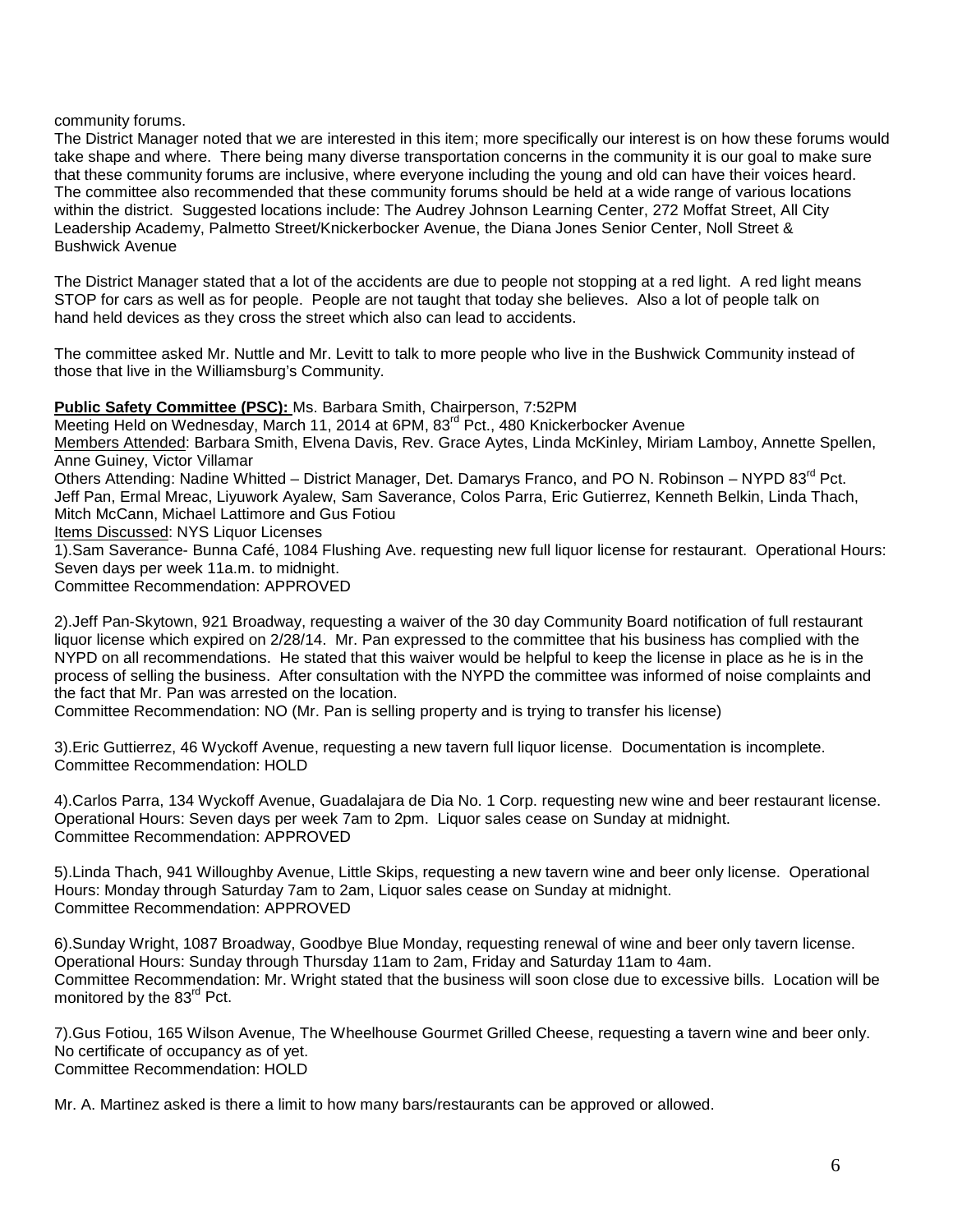community forums.

The District Manager noted that we are interested in this item; more specifically our interest is on how these forums would take shape and where. There being many diverse transportation concerns in the community it is our goal to make sure that these community forums are inclusive, where everyone including the young and old can have their voices heard. The committee also recommended that these community forums should be held at a wide range of various locations within the district. Suggested locations include: The Audrey Johnson Learning Center, 272 Moffat Street, All City Leadership Academy, Palmetto Street/Knickerbocker Avenue, the Diana Jones Senior Center, Noll Street & Bushwick Avenue

The District Manager stated that a lot of the accidents are due to people not stopping at a red light. A red light means STOP for cars as well as for people. People are not taught that today she believes. Also a lot of people talk on hand held devices as they cross the street which also can lead to accidents.

The committee asked Mr. Nuttle and Mr. Levitt to talk to more people who live in the Bushwick Community instead of those that live in the Williamsburg's Community.

**Public Safety Committee (PSC):** Ms. Barbara Smith, Chairperson, 7:52PM

Meeting Held on Wednesday, March 11, 2014 at 6PM, 83<sup>rd</sup> Pct., 480 Knickerbocker Avenue Members Attended: Barbara Smith, Elvena Davis, Rev. Grace Aytes, Linda McKinley, Miriam Lamboy, Annette Spellen, Anne Guiney, Victor Villamar Others Attending: Nadine Whitted – District Manager, Det. Damarys Franco, and PO N. Robinson – NYPD 83<sup>rd</sup> Pct. Jeff Pan, Ermal Mreac, Liyuwork Ayalew, Sam Saverance, Colos Parra, Eric Gutierrez, Kenneth Belkin, Linda Thach, Mitch McCann, Michael Lattimore and Gus Fotiou Items Discussed: NYS Liquor Licenses 1).Sam Saverance- Bunna Café, 1084 Flushing Ave. requesting new full liquor license for restaurant. Operational Hours: Seven days per week 11a.m. to midnight. Committee Recommendation: APPROVED 2).Jeff Pan-Skytown, 921 Broadway, requesting a waiver of the 30 day Community Board notification of full restaurant

liquor license which expired on 2/28/14. Mr. Pan expressed to the committee that his business has complied with the NYPD on all recommendations. He stated that this waiver would be helpful to keep the license in place as he is in the process of selling the business. After consultation with the NYPD the committee was informed of noise complaints and the fact that Mr. Pan was arrested on the location.

Committee Recommendation: NO (Mr. Pan is selling property and is trying to transfer his license)

3).Eric Guttierrez, 46 Wyckoff Avenue, requesting a new tavern full liquor license. Documentation is incomplete. Committee Recommendation: HOLD

4).Carlos Parra, 134 Wyckoff Avenue, Guadalajara de Dia No. 1 Corp. requesting new wine and beer restaurant license. Operational Hours: Seven days per week 7am to 2pm. Liquor sales cease on Sunday at midnight. Committee Recommendation: APPROVED

5).Linda Thach, 941 Willoughby Avenue, Little Skips, requesting a new tavern wine and beer only license. Operational Hours: Monday through Saturday 7am to 2am, Liquor sales cease on Sunday at midnight. Committee Recommendation: APPROVED

6).Sunday Wright, 1087 Broadway, Goodbye Blue Monday, requesting renewal of wine and beer only tavern license. Operational Hours: Sunday through Thursday 11am to 2am, Friday and Saturday 11am to 4am. Committee Recommendation: Mr. Wright stated that the business will soon close due to excessive bills. Location will be monitored by the 83<sup>rd</sup> Pct.

7).Gus Fotiou, 165 Wilson Avenue, The Wheelhouse Gourmet Grilled Cheese, requesting a tavern wine and beer only. No certificate of occupancy as of yet. Committee Recommendation: HOLD

Mr. A. Martinez asked is there a limit to how many bars/restaurants can be approved or allowed.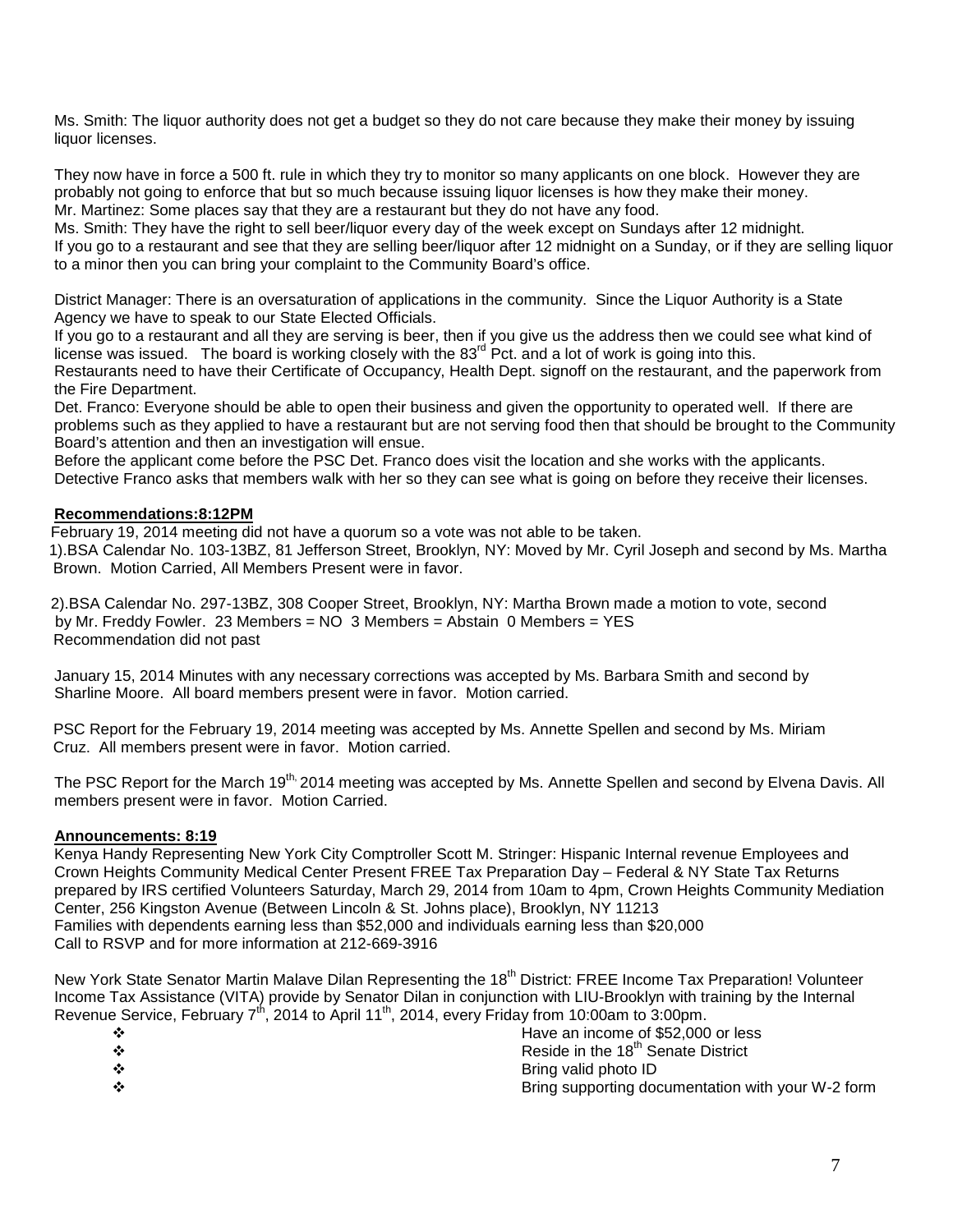Ms. Smith: The liquor authority does not get a budget so they do not care because they make their money by issuing liquor licenses.

They now have in force a 500 ft. rule in which they try to monitor so many applicants on one block. However they are probably not going to enforce that but so much because issuing liquor licenses is how they make their money. Mr. Martinez: Some places say that they are a restaurant but they do not have any food.

Ms. Smith: They have the right to sell beer/liquor every day of the week except on Sundays after 12 midnight. If you go to a restaurant and see that they are selling beer/liquor after 12 midnight on a Sunday, or if they are selling liquor to a minor then you can bring your complaint to the Community Board's office.

District Manager: There is an oversaturation of applications in the community. Since the Liquor Authority is a State Agency we have to speak to our State Elected Officials.

If you go to a restaurant and all they are serving is beer, then if you give us the address then we could see what kind of license was issued. The board is working closely with the 83<sup>rd</sup> Pct. and a lot of work is going into this. Restaurants need to have their Certificate of Occupancy, Health Dept. signoff on the restaurant, and the paperwork from the Fire Department.

Det. Franco: Everyone should be able to open their business and given the opportunity to operated well. If there are problems such as they applied to have a restaurant but are not serving food then that should be brought to the Community Board's attention and then an investigation will ensue.

Before the applicant come before the PSC Det. Franco does visit the location and she works with the applicants. Detective Franco asks that members walk with her so they can see what is going on before they receive their licenses.

# **Recommendations:8:12PM**

 February 19, 2014 meeting did not have a quorum so a vote was not able to be taken. 1).BSA Calendar No. 103-13BZ, 81 Jefferson Street, Brooklyn, NY: Moved by Mr. Cyril Joseph and second by Ms. Martha Brown. Motion Carried, All Members Present were in favor.

 2).BSA Calendar No. 297-13BZ, 308 Cooper Street, Brooklyn, NY: Martha Brown made a motion to vote, second by Mr. Freddy Fowler. 23 Members = NO 3 Members = Abstain 0 Members = YES Recommendation did not past

January 15, 2014 Minutes with any necessary corrections was accepted by Ms. Barbara Smith and second by Sharline Moore. All board members present were in favor. Motion carried.

 PSC Report for the February 19, 2014 meeting was accepted by Ms. Annette Spellen and second by Ms. Miriam Cruz. All members present were in favor. Motion carried.

The PSC Report for the March 19<sup>th,</sup> 2014 meeting was accepted by Ms. Annette Spellen and second by Elvena Davis. All members present were in favor. Motion Carried.

## **Announcements: 8:19**

Kenya Handy Representing New York City Comptroller Scott M. Stringer: Hispanic Internal revenue Employees and Crown Heights Community Medical Center Present FREE Tax Preparation Day – Federal & NY State Tax Returns prepared by IRS certified Volunteers Saturday, March 29, 2014 from 10am to 4pm, Crown Heights Community Mediation Center, 256 Kingston Avenue (Between Lincoln & St. Johns place), Brooklyn, NY 11213 Families with dependents earning less than \$52,000 and individuals earning less than \$20,000 Call to RSVP and for more information at 212-669-3916

New York State Senator Martin Malave Dilan Representing the 18<sup>th</sup> District: FREE Income Tax Preparation! Volunteer Income Tax Assistance (VITA) provide by Senator Dilan in conjunction with LIU-Brooklyn with training by the Internal Revenue Service, February  $7<sup>th</sup>$ , 2014 to April 11<sup>th</sup>, 2014, every Friday from 10:00am to 3:00pm.

| Have an income of \$52,000 or less                |
|---------------------------------------------------|
| Reside in the 18 <sup>th</sup> Senate District    |
| Bring valid photo ID                              |
| Bring supporting documentation with your W-2 form |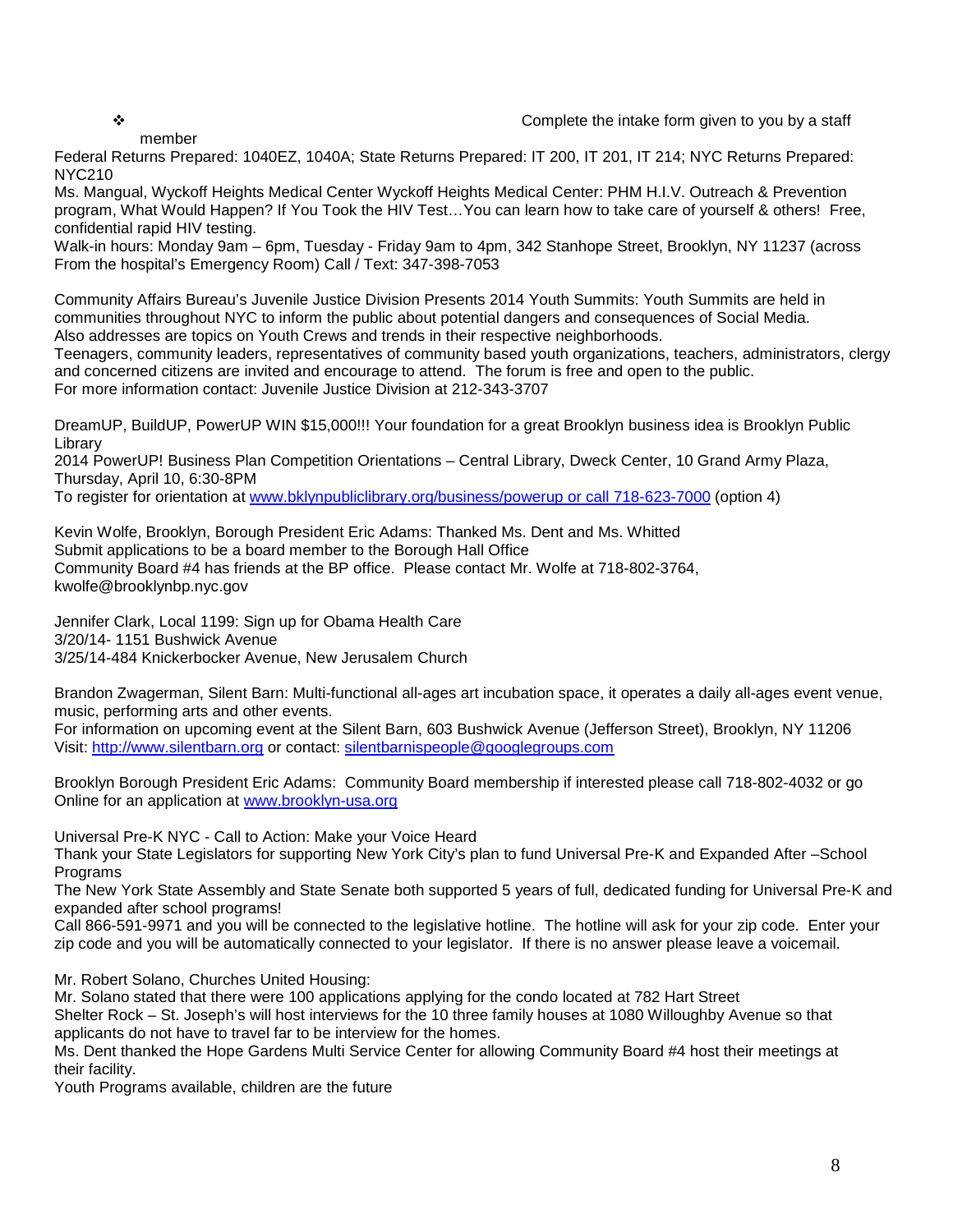# member

◆ **◆** the intake form given to you by a staff

Federal Returns Prepared: 1040EZ, 1040A; State Returns Prepared: IT 200, IT 201, IT 214; NYC Returns Prepared: NYC210

Ms. Mangual, Wyckoff Heights Medical Center Wyckoff Heights Medical Center: PHM H.I.V. Outreach & Prevention program, What Would Happen? If You Took the HIV Test…You can learn how to take care of yourself & others! Free, confidential rapid HIV testing.

Walk-in hours: Monday 9am – 6pm, Tuesday - Friday 9am to 4pm, 342 Stanhope Street, Brooklyn, NY 11237 (across From the hospital's Emergency Room) Call / Text: 347-398-7053

Community Affairs Bureau's Juvenile Justice Division Presents 2014 Youth Summits: Youth Summits are held in communities throughout NYC to inform the public about potential dangers and consequences of Social Media. Also addresses are topics on Youth Crews and trends in their respective neighborhoods.

Teenagers, community leaders, representatives of community based youth organizations, teachers, administrators, clergy and concerned citizens are invited and encourage to attend. The forum is free and open to the public. For more information contact: Juvenile Justice Division at 212-343-3707

DreamUP, BuildUP, PowerUP WIN \$15,000!!! Your foundation for a great Brooklyn business idea is Brooklyn Public Library

2014 PowerUP! Business Plan Competition Orientations – Central Library, Dweck Center, 10 Grand Army Plaza, Thursday, April 10, 6:30-8PM

To register for orientation at [www.bklynpubliclibrary.org/business/powerup or call 718-623-7000](http://www.bklynpubliclibrary.org/business/powerup%20or%20call%20718-623-7000) (option 4)

Kevin Wolfe, Brooklyn, Borough President Eric Adams: Thanked Ms. Dent and Ms. Whitted Submit applications to be a board member to the Borough Hall Office Community Board #4 has friends at the BP office. Please contact Mr. Wolfe at 718-802-3764, kwolfe@brooklynbp.nyc.gov

Jennifer Clark, Local 1199: Sign up for Obama Health Care 3/20/14- 1151 Bushwick Avenue 3/25/14-484 Knickerbocker Avenue, New Jerusalem Church

Brandon Zwagerman, Silent Barn: Multi-functional all-ages art incubation space, it operates a daily all-ages event venue, music, performing arts and other events.

For information on upcoming event at the Silent Barn, 603 Bushwick Avenue (Jefferson Street), Brooklyn, NY 11206 Visit: [http://www.silentbarn.org](http://www.silentbarn.org/) or contact: [silentbarnispeople@googlegroups.com](mailto:silentbarnispeople@googlegroups.com)

Brooklyn Borough President Eric Adams: Community Board membership if interested please call 718-802-4032 or go Online for an application at [www.brooklyn-usa.org](http://www.brooklyn-usa.org/)

Universal Pre-K NYC - Call to Action: Make your Voice Heard

Thank your State Legislators for supporting New York City's plan to fund Universal Pre-K and Expanded After –School Programs

The New York State Assembly and State Senate both supported 5 years of full, dedicated funding for Universal Pre-K and expanded after school programs!

Call 866-591-9971 and you will be connected to the legislative hotline. The hotline will ask for your zip code. Enter your zip code and you will be automatically connected to your legislator. If there is no answer please leave a voicemail.

Mr. Robert Solano, Churches United Housing:

Mr. Solano stated that there were 100 applications applying for the condo located at 782 Hart Street Shelter Rock – St. Joseph's will host interviews for the 10 three family houses at 1080 Willoughby Avenue so that applicants do not have to travel far to be interview for the homes.

Ms. Dent thanked the Hope Gardens Multi Service Center for allowing Community Board #4 host their meetings at their facility.

Youth Programs available, children are the future